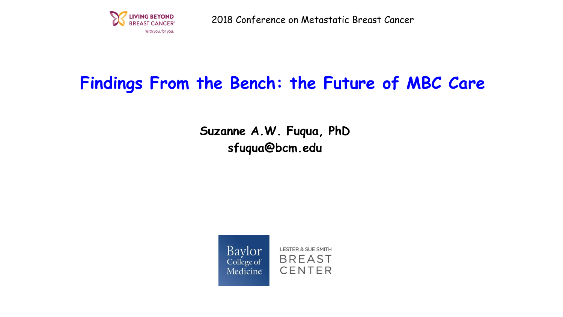

2018 Conference on Metastatic Breast Cancer

## **Findings From the Bench: the Future of MBC Care**

**Suzanne A.W. Fuqua, PhD sfuqua@bcm.edu**

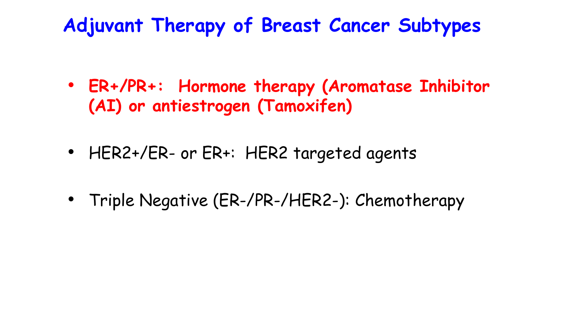# **Adjuvant Therapy of Breast Cancer Subtypes**

- **ER+/PR+: Hormone therapy (Aromatase Inhibitor (AI) or antiestrogen (Tamoxifen)**
- HER2+/ER- or ER+: HER2 targeted agents
- Triple Negative (ER-/PR-/HER2-): Chemotherapy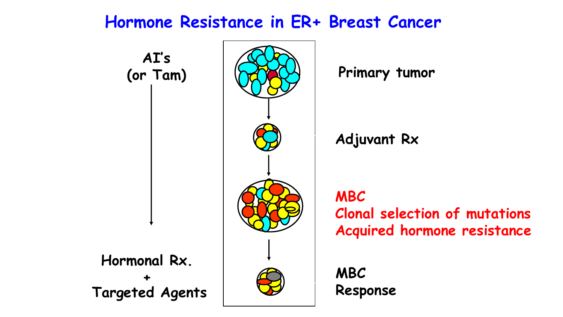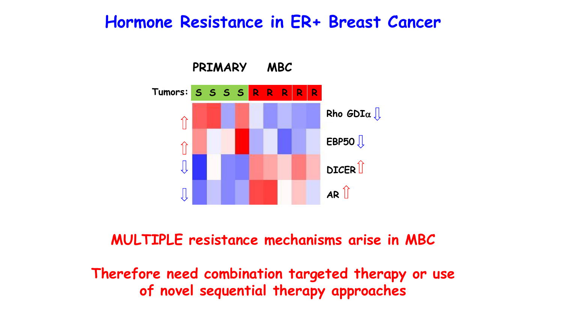## **Hormone Resistance in ER+ Breast Cancer**



**MULTIPLE resistance mechanisms arise in MBC**

**Therefore need combination targeted therapy or use of novel sequential therapy approaches**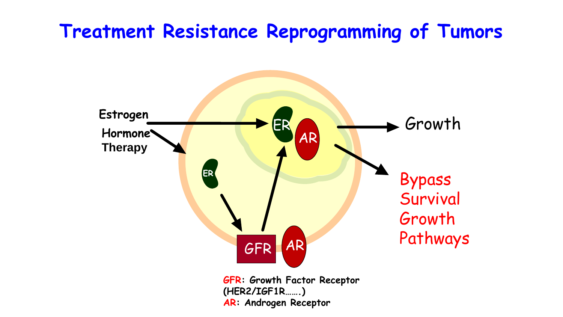# **Treatment Resistance Reprogramming of Tumors**

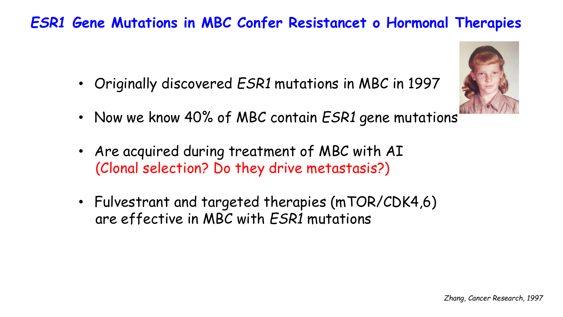## *ESR1* **Gene Mutations in MBC Confer Resistancet o Hormonal Therapies**

• Originally discovered *ESR1* mutations in MBC in 1997



- Now we know 40% of MBC contain *ESR1* gene mutations
- Are acquired during treatment of MBC with AI (Clonal selection? Do they drive metastasis?)
- Fulvestrant and targeted therapies (mTOR/CDK4,6) are effective in MBC with *ESR1* mutations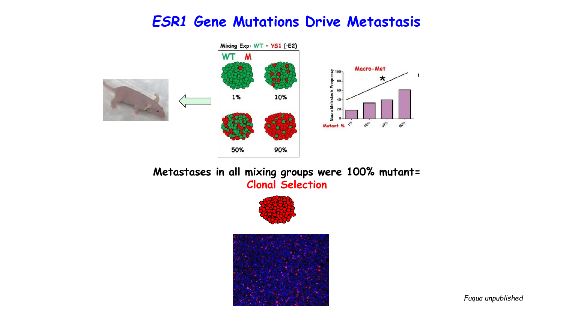### *ESR1* **Gene Mutations Drive Metastasis**



#### **Metastases in all mixing groups were 100% mutant= Clonal Selection**





*Fuqua unpublished*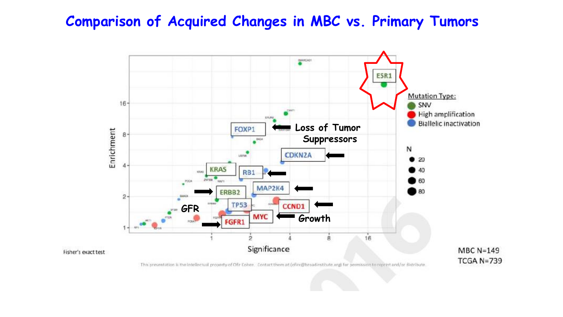### **Comparison of Acquired Changes in MBC vs. Primary Tumors**



 $MBC N=149$ **TCGA N=739** 

This presentation is the intellectual property of Ohr Cohen. Contact them at (ofirc@broadinstitute.org) for permission to repeint and/or distribute.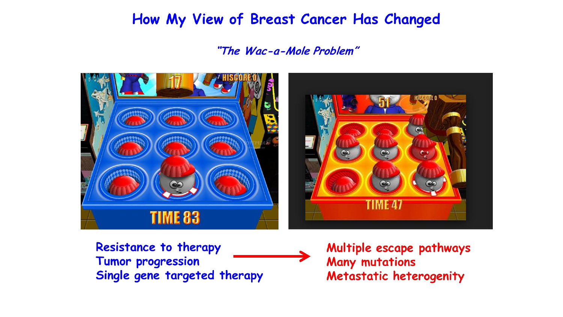## How My View of Breast Cancer Has Changed

#### "The Wac-a-Mole Problem"



**Resistance to therapy** Tumor progression Single gene targeted therapy

Multiple escape pathways **Many mutations** Metastatic heterogenity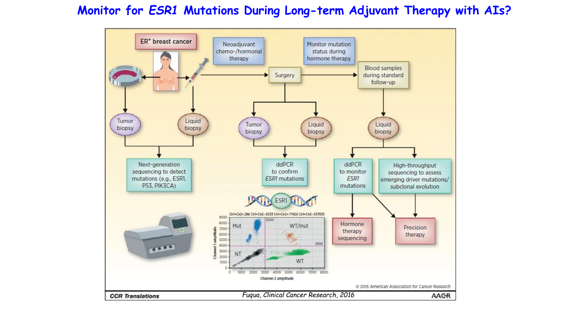#### **Monitor for** *ESR1* **Mutations During Long-term Adjuvant Therapy with AIs?**

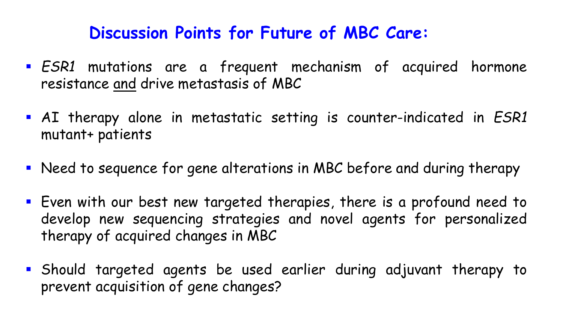# **Discussion Points for Future of MBC Care:**

- *ESR1* mutations are a frequent mechanism of acquired hormone resistance and drive metastasis of MBC
- AI therapy alone in metastatic setting is counter-indicated in *ESR1* mutant+ patients
- Need to sequence for gene alterations in MBC before and during therapy
- **E** Fven with our best new targeted therapies, there is a profound need to develop new sequencing strategies and novel agents for personalized therapy of acquired changes in MBC
- Should targeted agents be used earlier during adjuvant therapy to prevent acquisition of gene changes?